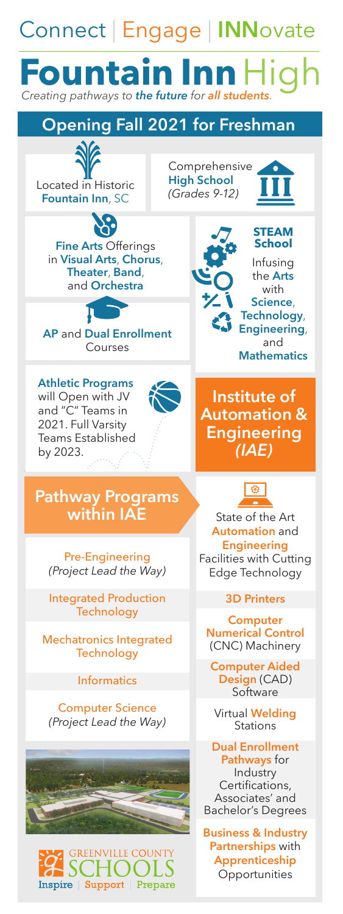## Connect | Engage | **INN**ovate Fountain Inn  $H$ igh **Opening Fall 2021 for Freshman**  Comprehensive **High School** Located in Historic *(Grades 9-12)* **Fountain Inn**, SC **STEAM Fine Arts Offerings**<br>in **Visual Arts**, **Chorus**, in **Visual Arts**, **Chorus**, Infusing **Theater**, **Band**, the **Arts**  and **Orchestra and Orchestra Science**, **Technology**, **Engineering**, **AP** and **Dual Enrollment Courses Mathematics Athletic Programs Institute of**  will Open with JV and "C" Teams in **Automation &**  2021. Full Varsity **Engineering**  Teams Established *(IAE)*  by 2023. 463 **Pathway Programs within IAE** State of the Art **Automation** and **Engineering** Pre-Engineering Facilities with Cutting *(Project Lead the Way)* Edge Technology Integrated Production **3D Printers Technology Computer Mechatronics Integrated Mumerical Control CNC**<br> **Technology** (CNC) Machinery **Computer Aided Design** (CAD) **Informatics Software** Computer Science Virtual Welding<br>*(Project Lead the Way)* Stations **Dual Enrollment Pathways** for Industry Certifications, Associates' and Bachelor's Degrees **Business & Industry Partnerships** with REENVILLE COUNT **Apprenticeship** 10 O H **Opportunities** Inspire | Support | Prepare